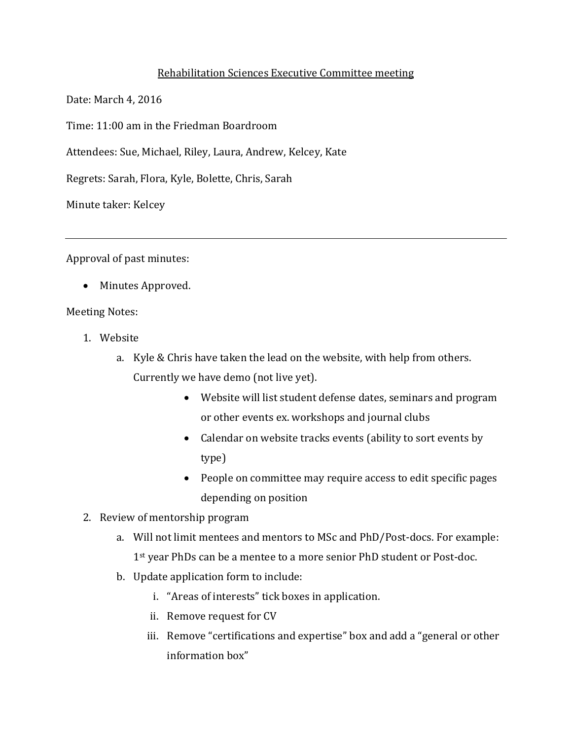## Rehabilitation Sciences Executive Committee meeting

Date: March 4, 2016

Time: 11:00 am in the Friedman Boardroom

Attendees: Sue, Michael, Riley, Laura, Andrew, Kelcey, Kate

Regrets: Sarah, Flora, Kyle, Bolette, Chris, Sarah

Minute taker: Kelcey

Approval of past minutes:

• Minutes Approved.

## Meeting Notes:

- 1. Website
	- a. Kyle & Chris have taken the lead on the website, with help from others. Currently we have demo (not live yet).
		- Website will list student defense dates, seminars and program or other events ex. workshops and journal clubs
		- Calendar on website tracks events (ability to sort events by type)
		- People on committee may require access to edit specific pages depending on position
- 2. Review of mentorship program
	- a. Will not limit mentees and mentors to MSc and PhD/Post-docs. For example: 1<sup>st</sup> year PhDs can be a mentee to a more senior PhD student or Post-doc.
	- b. Update application form to include:
		- i. "Areas of interests" tick boxes in application.
		- ii. Remove request for CV
		- iii. Remove "certifications and expertise" box and add a "general or other information box"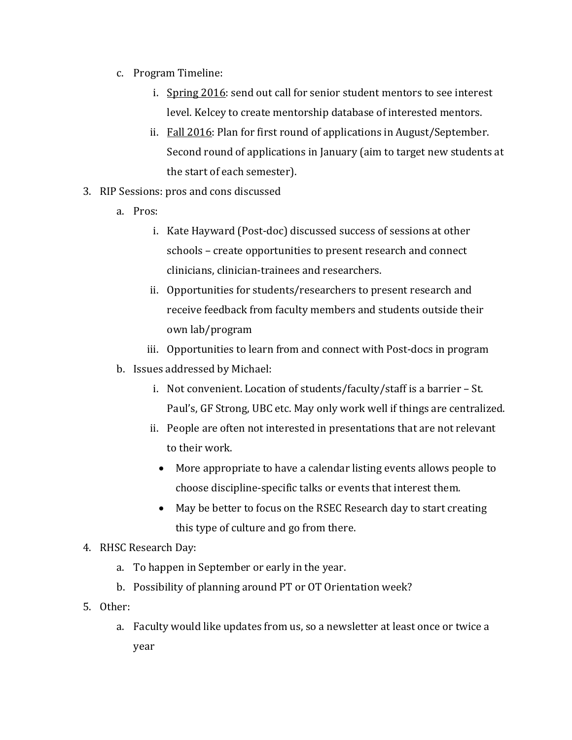- c. Program Timeline:
	- i. Spring 2016: send out call for senior student mentors to see interest level. Kelcey to create mentorship database of interested mentors.
	- ii. Fall 2016: Plan for first round of applications in August/September. Second round of applications in January (aim to target new students at the start of each semester).
- 3. RIP Sessions: pros and cons discussed
	- a. Pros:
		- i. Kate Hayward (Post-doc) discussed success of sessions at other schools – create opportunities to present research and connect clinicians, clinician-trainees and researchers.
		- ii. Opportunities for students/researchers to present research and receive feedback from faculty members and students outside their own lab/program
		- iii. Opportunities to learn from and connect with Post-docs in program
	- b. Issues addressed by Michael:
		- i. Not convenient. Location of students/faculty/staff is a barrier St. Paul's, GF Strong, UBC etc. May only work well if things are centralized.
		- ii. People are often not interested in presentations that are not relevant to their work.
			- More appropriate to have a calendar listing events allows people to choose discipline-specific talks or events that interest them.
			- May be better to focus on the RSEC Research day to start creating this type of culture and go from there.
- 4. RHSC Research Day:
	- a. To happen in September or early in the year.
	- b. Possibility of planning around PT or OT Orientation week?
- 5. Other:
	- a. Faculty would like updates from us, so a newsletter at least once or twice a year